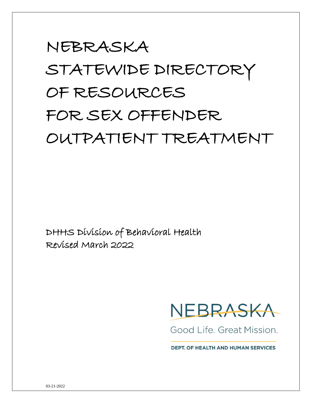# NEBRASKA STATEWIDE DIRECTORY OF RESOURCES FOR SEX OFFENDER OUTPATIENT TREATMENT

DHHS Division of Behavioral Health Revised March 2022



Good Life, Great Mission.

**DEPT. OF HEALTH AND HUMAN SERVICES**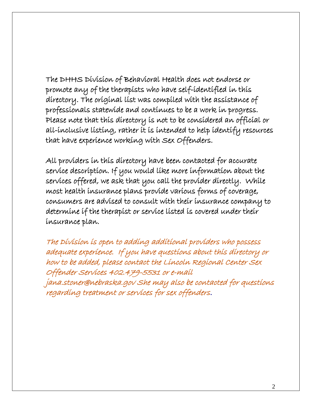The DHHS Division of Behavioral Health does not endorse or promote any of the therapists who have self-identified in this directory. The original list was compiled with the assistance of professionals statewide and continues to be a work in progress. Please note that this directory is not to be considered an official or all-inclusive listing, rather it is intended to help identify resources that have experience working with Sex Offenders.

All providers in this directory have been contacted for accurate service description. If you would like more information about the services offered, we ask that you call the provider directly. While most health insurance plans provide various forms of coverage, consumers are advised to consult with their insurance company to determine if the therapist or service listed is covered under their insurance plan.

The Division is open to adding additional providers who possess adequate experience. If you have questions about this directory or how to be added, please contact the Lincoln Regional Center Sex Offender Services 402.479-5531 or e-mail jana.stoner@nebraska.gov She may also be contacted for questions regarding treatment or services for sex offenders.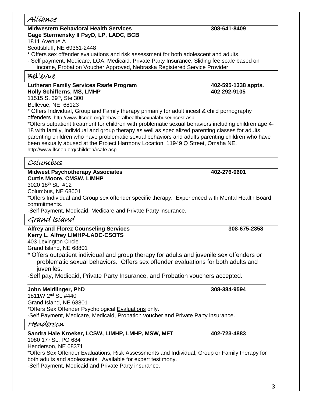## Alliance

## **Midwestern Behavioral Health Services 308-641-8409 Gage Stermensky II PsyD, LP, LADC, BCB**

1811 Avenue A

Scottsbluff, NE 69361-2448

\* Offers sex offender evaluations and risk assessment for both adolescent and adults.

- Self payment, Medicare, LOA, Medicaid, Private Party Insurance, Sliding fee scale based on income, Probation Voucher Approved, Nebraska Registered Service Provider

## Bellevue

Lutheran Family Services Rsafe Program **1988 1988 402-595-1338** appts. **Holly Schifferns, MS, LMHP 402 292-9105**  11515 S. 39th, Ste 300

Bellevue, NE 68123

\* Offers Individual, Group and Family therapy primarily for adult incest & child pornography offenders.<http://www.lfsneb.org/behavioralhealth/sexualabuse/incest.asp>

\*Offers outpatient treatment for children with problematic sexual behaviors including children age 4- 18 with family, individual and group therapy as well as specialized parenting classes for adults parenting children who have problematic sexual behaviors and adults parenting children who have been sexually abused at the Project Harmony Location, 11949 Q Street, Omaha NE. <http://www.lfsneb.org/children/rsafe.asp>

## Columbus

**Midwest Psychotherapy Associates 402-276-0601 Curtis Moore, CMSW, LIMHP**

3020 18<sup>th</sup> St., #12

Columbus, NE 68601

\*Offers Individual and Group sex offender specific therapy. Experienced with Mental Health Board commitments.

-Self Payment, Medicaid, Medicare and Private Party insurance.

## Grand Island

**Alfrey and Florez Counseling Services 308-675-2858 Kerry L. Alfrey LIMHP-LADC-CSOTS** 403 Lexington Circle

Grand Island, NE 68801

\* Offers outpatient individual and group therapy for adults and juvenile sex offenders or problematic sexual behaviors. Offers sex offender evaluations for both adults and juveniles.

-Self pay, Medicaid, Private Party Insurance, and Probation vouchers accepted.

## **John Meidlinger, PhD 308-384-9594**

1811W 2nd St. #440 Grand Island, NE 68801 \*Offers Sex Offender Psychological Evaluations only. -Self Payment, Medicare, Medicaid, Probation voucher and Private Party insurance.

## Henderson

## **Sandra Hale Kroeker, LCSW, LIMHP, LMHP, MSW, MFT 402-723-4883**

1080 17<sup>th</sup> St., PO 684 Henderson, NE 68371

\*Offers Sex Offender Evaluations, Risk Assessments and Individual, Group or Family therapy for both adults and adolescents. Available for expert testimony. -Self Payment, Medicaid and Private Party insurance.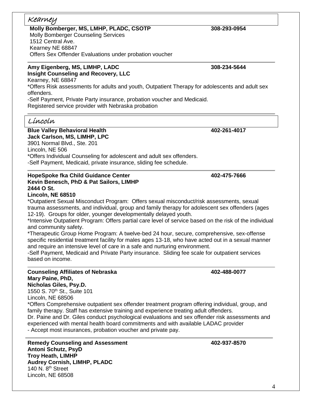# Kearney

**Molly Bomberger, MS, LMHP, PLADC, CSOTP 308-293-0954** Molly Bomberger Counseling Services 1512 Central Ave. Kearney NE 68847 Offers Sex Offender Evaluations under probation voucher

#### **Amy Eigenberg, MS, LIMHP, LADC 308-234-5644 Insight Counseling and Recovery, LLC**

Kearney, NE 68847

\*Offers Risk assessments for adults and youth, Outpatient Therapy for adolescents and adult sex offenders.

-Self Payment, Private Party insurance, probation voucher and Medicaid. Registered service provider with Nebraska probation

## Lincoln

**Blue Valley Behavioral Health 402-261-4017 Jack Carlson, MS, LIMHP, LPC** 3901 Normal Blvd., Ste. 201 Lincoln, NE 506 \*Offers Individual Counseling for adolescent and adult sex offenders. -Self Payment, Medicaid, private insurance, sliding fee schedule.

#### **HopeSpoke fka Child Guidance Center 402-475-7666 Kevin Benesch, PhD & Pat Sailors, LIMHP 2444 O St. Lincoln, NE 68510**

\*Outpatient Sexual Misconduct Program: Offers sexual misconduct/risk assessments, sexual trauma assessments, and individual, group and family therapy for adolescent sex offenders (ages 12-19). Groups for older, younger developmentally delayed youth.

\*Intensive Outpatient Program: Offers partial care level of service based on the risk of the individual and community safety.

\*Therapeutic Group Home Program: A twelve-bed 24 hour, secure, comprehensive, sex-offense specific residential treatment facility for males ages 13-18, who have acted out in a sexual manner and require an intensive level of care in a safe and nurturing environment.

-Self Payment, Medicaid and Private Party insurance. Sliding fee scale for outpatient services based on income.

#### **Counseling Affiliates of Nebraska 402-488-0077 Mary Paine, PhD, Nicholas Giles, Psy.D.**

1550 S. 70<sup>th</sup> St., Suite 101 Lincoln, NE 68506 \*Offers Comprehensive outpatient sex offender treatment program offering individual, group, and family therapy. Staff has extensive training and experience treating adult offenders. Dr. Paine and Dr. Giles conduct psychological evaluations and sex offender risk assessments and experienced with mental health board commitments and with available LADAC provider - Accept most insurances, probation voucher and private pay.

**Remedy Counseling and Assessment 402-937-8570 Antoni Schutz, PsyD Troy Heath, LIMHP Audrey Cornish, LIMHP, PLADC** 140 N.  $8<sup>th</sup>$  Street Lincoln, NE 68508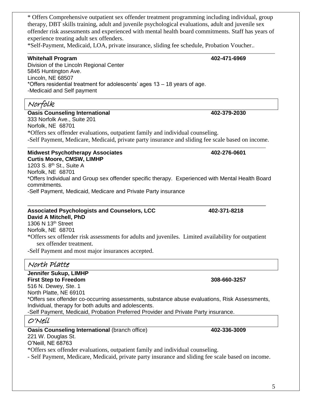\* Offers Comprehensive outpatient sex offender treatment programming including individual, group therapy, DBT skills training, adult and juvenile psychological evaluations, adult and juvenile sex offender risk assessments and experienced with mental health board commitments. Staff has years of experience treating adult sex offenders.

\*Self-Payment, Medicaid, LOA, private insurance, sliding fee schedule, Probation Voucher..

## **Whitehall Program 402-471-6969**

Division of the Lincoln Regional Center 5845 Huntington Ave. Lincoln, NE 68507 \*Offers residential treatment for adolescents' ages 13 – 18 years of age. -Medicaid and Self payment

# Norfolk

**Oasis Counseling International 402-379-2030**

333 Norfolk Ave., Suite 201 Norfolk, NE 68701 \*Offers sex offender evaluations, outpatient family and individual counseling. -Self Payment, Medicare, Medicaid, private party insurance and sliding fee scale based on income.

## **Midwest Psychotherapy Associates 402-276-0601 Curtis Moore, CMSW, LIMHP**

1203 S. 8<sup>th</sup> St., Suite A Norfolk, NE 68701 \*Offers Individual and Group sex offender specific therapy. Experienced with Mental Health Board commitments.

-Self Payment, Medicaid, Medicare and Private Party insurance

## **Associated Psychologists and Counselors, LCC 402-371-8218 David A Mitchell, PhD**

1306 N 13th Street Norfolk, NE 68701

\*Offers sex offender risk assessments for adults and juveniles. Limited availability for outpatient sex offender treatment.

-Self Payment and most major insurances accepted.

## North Platte

**Jennifer Sukup, LIMHP First Step to Freedom 308-660-3257** 516 N. Dewey, Ste. 1 North Platte, NE 69101 \*Offers sex offender co-occurring assessments, substance abuse evaluations, Risk Assessments, Individual, therapy for both adults and adolescents. -Self Payment, Medicaid, Probation Preferred Provider and Private Party insurance. O'Neil

**Oasis Counseling International (branch office)** 402-336-3009

221 W. Douglas St.

O'Neill, NE 68763

\*Offers sex offender evaluations, outpatient family and individual counseling.

- Self Payment, Medicare, Medicaid, private party insurance and sliding fee scale based on income.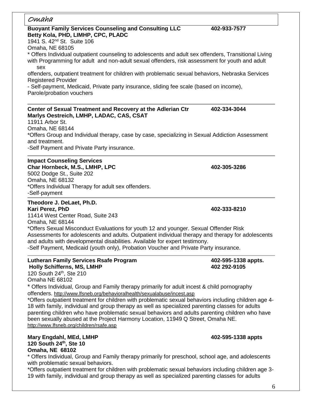| Omaha                                                                                                                                                                                                                                                                                                                                                                                                                                                                                                                                                                                                                   |                                     |
|-------------------------------------------------------------------------------------------------------------------------------------------------------------------------------------------------------------------------------------------------------------------------------------------------------------------------------------------------------------------------------------------------------------------------------------------------------------------------------------------------------------------------------------------------------------------------------------------------------------------------|-------------------------------------|
| <b>Buoyant Family Services Counseling and Consulting LLC</b><br>Betty Kola, PHD, LIMHP, CPC, PLADC<br>1941 S. 42 <sup>nd</sup> St. Suite 106                                                                                                                                                                                                                                                                                                                                                                                                                                                                            | 402-933-7577                        |
| Omaha, NE 68105<br>* Offers Individual outpatient counseling to adolescents and adult sex offenders, Transitional Living<br>with Programming for adult and non-adult sexual offenders, risk assessment for youth and adult<br>sex                                                                                                                                                                                                                                                                                                                                                                                       |                                     |
| offenders, outpatient treatment for children with problematic sexual behaviors, Nebraska Services<br><b>Registered Provider</b>                                                                                                                                                                                                                                                                                                                                                                                                                                                                                         |                                     |
| - Self-payment, Medicaid, Private party insurance, sliding fee scale (based on income),<br>Parole/probation vouchers                                                                                                                                                                                                                                                                                                                                                                                                                                                                                                    |                                     |
| Center of Sexual Treatment and Recovery at the Adlerian Ctr<br>Marlys Oestreich, LMHP, LADAC, CAS, CSAT<br>11911 Arbor St.                                                                                                                                                                                                                                                                                                                                                                                                                                                                                              | 402-334-3044                        |
| Omaha, NE 68144<br>*Offers Group and Individual therapy, case by case, specializing in Sexual Addiction Assessment<br>and treatment.<br>-Self Payment and Private Party insurance.                                                                                                                                                                                                                                                                                                                                                                                                                                      |                                     |
| <b>Impact Counseling Services</b><br>Char Hornbeck, M.S., LMHP, LPC<br>5002 Dodge St., Suite 202<br>Omaha, NE 68132<br>*Offers Individual Therapy for adult sex offenders.<br>-Self-payment                                                                                                                                                                                                                                                                                                                                                                                                                             | 402-305-3286                        |
| Theodore J. DeLaet, Ph.D.<br>Kari Perez, PhD<br>11414 West Center Road, Suite 243                                                                                                                                                                                                                                                                                                                                                                                                                                                                                                                                       | 402-333-8210                        |
| Omaha, NE 68144<br>*Offers Sexual Misconduct Evaluations for youth 12 and younger. Sexual Offender Risk<br>Assessments for adolescents and adults. Outpatient individual therapy and therapy for adolescents<br>and adults with developmental disabilities. Available for expert testimony.<br>-Self Payment, Medicaid (youth only), Probation Voucher and Private Party insurance.                                                                                                                                                                                                                                     |                                     |
| <b>Lutheran Family Services Rsafe Program</b><br><b>Holly Schifferns, MS, LMHP</b><br>120 South 24th, Ste 210<br>Omaha NE 68102                                                                                                                                                                                                                                                                                                                                                                                                                                                                                         | 402-595-1338 appts.<br>402 292-9105 |
| * Offers Individual, Group and Family therapy primarily for adult incest & child pornography<br>offenders. http://www.lfsneb.org/behavioralhealth/sexualabuse/incest.asp<br>*Offers outpatient treatment for children with problematic sexual behaviors including children age 4-<br>18 with family, individual and group therapy as well as specialized parenting classes for adults<br>parenting children who have problematic sexual behaviors and adults parenting children who have<br>been sexually abused at the Project Harmony Location, 11949 Q Street, Omaha NE.<br>http://www.lfsneb.org/children/rsafe.asp |                                     |

**Mary Engdahl, MEd, LMHP 402-595-1338 appts 120 South 24th, Ste 10 Omaha, NE 68102**

\* Offers Individual, Group and Family therapy primarily for preschool, school age, and adolescents with problematic sexual behaviors.

\*Offers outpatient treatment for children with problematic sexual behaviors including children age 3- 19 with family, individual and group therapy as well as specialized parenting classes for adults